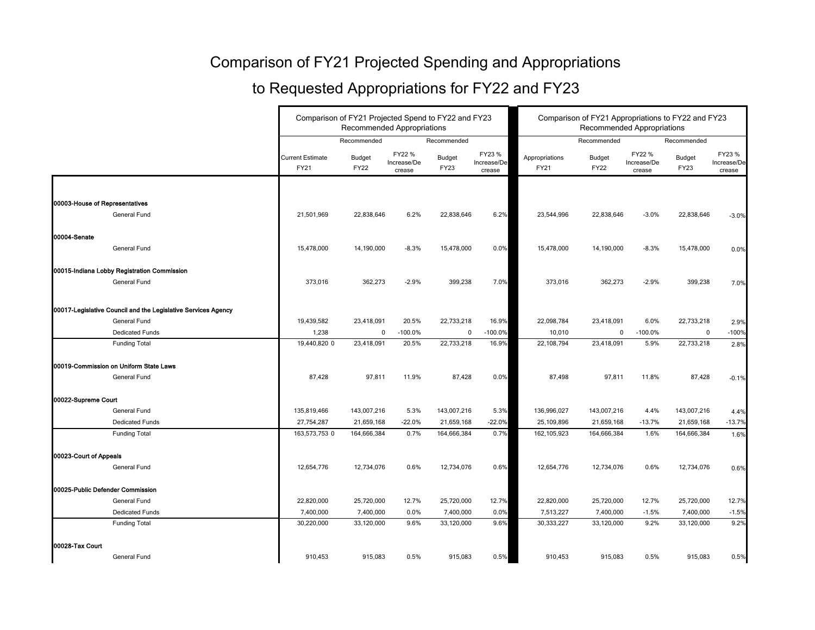## Comparison of FY21 Projected Spending and Appropriations

## to Requested Appropriations for FY22 and FY23

|                                                               |                                        | Comparison of FY21 Projected Spend to FY22 and FY23<br><b>Recommended Appropriations</b> |                                 |                       | Comparison of FY21 Appropriations to FY22 and FY23<br><b>Recommended Appropriations</b> |                               |                              |                                 |                              |                                 |
|---------------------------------------------------------------|----------------------------------------|------------------------------------------------------------------------------------------|---------------------------------|-----------------------|-----------------------------------------------------------------------------------------|-------------------------------|------------------------------|---------------------------------|------------------------------|---------------------------------|
|                                                               |                                        | Recommended                                                                              |                                 | Recommended           |                                                                                         |                               | Recommended                  |                                 | Recommended                  |                                 |
|                                                               | <b>Current Estimate</b><br><b>FY21</b> | <b>Budget</b><br><b>FY22</b>                                                             | FY22 %<br>Increase/De<br>crease | <b>Budget</b><br>FY23 | FY23 %<br>Increase/De<br>crease                                                         | Appropriations<br><b>FY21</b> | <b>Budget</b><br><b>FY22</b> | FY22 %<br>Increase/De<br>crease | <b>Budget</b><br><b>FY23</b> | FY23 %<br>Increase/De<br>crease |
|                                                               |                                        |                                                                                          |                                 |                       |                                                                                         |                               |                              |                                 |                              |                                 |
| 00003-House of Representatives                                |                                        |                                                                                          |                                 |                       |                                                                                         |                               |                              |                                 |                              |                                 |
| General Fund                                                  | 21,501,969                             | 22,838,646                                                                               | 6.2%                            | 22,838,646            | 6.2%                                                                                    | 23,544,996                    | 22,838,646                   | $-3.0%$                         | 22,838,646                   | $-3.0%$                         |
| 00004-Senate                                                  |                                        |                                                                                          |                                 |                       |                                                                                         |                               |                              |                                 |                              |                                 |
| General Fund                                                  | 15,478,000                             | 14,190,000                                                                               | $-8.3%$                         | 15,478,000            | 0.0%                                                                                    | 15,478,000                    | 14,190,000                   | $-8.3%$                         | 15,478,000                   | 0.0%                            |
| 00015-Indiana Lobby Registration Commission                   |                                        |                                                                                          |                                 |                       |                                                                                         |                               |                              |                                 |                              |                                 |
| General Fund                                                  | 373,016                                | 362,273                                                                                  | $-2.9%$                         | 399,238               | 7.0%                                                                                    | 373,016                       | 362,273                      | $-2.9%$                         | 399,238                      | 7.0%                            |
| 00017-Legislative Council and the Legislative Services Agency |                                        |                                                                                          |                                 |                       |                                                                                         |                               |                              |                                 |                              |                                 |
| General Fund                                                  | 19,439,582                             | 23,418,091                                                                               | 20.5%                           | 22,733,218            | 16.9%                                                                                   | 22,098,784                    | 23,418,091                   | 6.0%                            | 22,733,218                   | 2.9%                            |
| <b>Dedicated Funds</b>                                        | 1,238                                  | $\mathbf 0$                                                                              | $-100.0\%$                      | 0                     | $-100.0%$                                                                               | 10,010                        | $\mathbf 0$                  | $-100.0\%$                      | $\mathbf 0$                  | $-100%$                         |
| <b>Funding Total</b>                                          | 19,440,820 0                           | 23,418,091                                                                               | 20.5%                           | 22,733,218            | 16.9%                                                                                   | 22,108,794                    | 23,418,091                   | 5.9%                            | 22,733,218                   | 2.8%                            |
| 00019-Commission on Uniform State Laws                        |                                        |                                                                                          |                                 |                       |                                                                                         |                               |                              |                                 |                              |                                 |
| General Fund                                                  | 87,428                                 | 97,811                                                                                   | 11.9%                           | 87,428                | 0.0%                                                                                    | 87,498                        | 97,811                       | 11.8%                           | 87,428                       | $-0.1%$                         |
| 00022-Supreme Court                                           |                                        |                                                                                          |                                 |                       |                                                                                         |                               |                              |                                 |                              |                                 |
| <b>General Fund</b>                                           | 135,819,466                            | 143,007,216                                                                              | 5.3%                            | 143,007,216           | 5.3%                                                                                    | 136,996,027                   | 143,007,216                  | 4.4%                            | 143,007,216                  | 4.4%                            |
| <b>Dedicated Funds</b>                                        | 27,754,287                             | 21,659,168                                                                               | $-22.0%$                        | 21,659,168            | $-22.0%$                                                                                | 25,109,896                    | 21,659,168                   | $-13.7%$                        | 21,659,168                   | $-13.7%$                        |
| <b>Funding Total</b>                                          | 163,573,753 0                          | 164,666,384                                                                              | 0.7%                            | 164,666,384           | 0.7%                                                                                    | 162,105,923                   | 164,666,384                  | 1.6%                            | 164,666,384                  | 1.6%                            |
| 00023-Court of Appeals                                        |                                        |                                                                                          |                                 |                       |                                                                                         |                               |                              |                                 |                              |                                 |
| General Fund                                                  | 12,654,776                             | 12,734,076                                                                               | 0.6%                            | 12,734,076            | 0.6%                                                                                    | 12,654,776                    | 12,734,076                   | 0.6%                            | 12,734,076                   | 0.6%                            |
| 00025-Public Defender Commission                              |                                        |                                                                                          |                                 |                       |                                                                                         |                               |                              |                                 |                              |                                 |
| General Fund                                                  | 22,820,000                             | 25,720,000                                                                               | 12.7%                           | 25,720,000            | 12.7%                                                                                   | 22,820,000                    | 25,720,000                   | 12.7%                           | 25,720,000                   | 12.7%                           |
| <b>Dedicated Funds</b>                                        | 7,400,000                              | 7,400,000                                                                                | 0.0%                            | 7,400,000             | 0.0%                                                                                    | 7,513,227                     | 7,400,000                    | $-1.5%$                         | 7,400,000                    | $-1.5%$                         |
| <b>Funding Total</b>                                          | 30,220,000                             | 33,120,000                                                                               | 9.6%                            | 33,120,000            | 9.6%                                                                                    | 30,333,227                    | 33,120,000                   | 9.2%                            | 33,120,000                   | 9.2%                            |
| 00028-Tax Court                                               |                                        |                                                                                          |                                 |                       |                                                                                         |                               |                              |                                 |                              |                                 |
| General Fund                                                  | 910,453                                | 915,083                                                                                  | 0.5%                            | 915,083               | 0.5%                                                                                    | 910,453                       | 915,083                      | 0.5%                            | 915,083                      | 0.5%                            |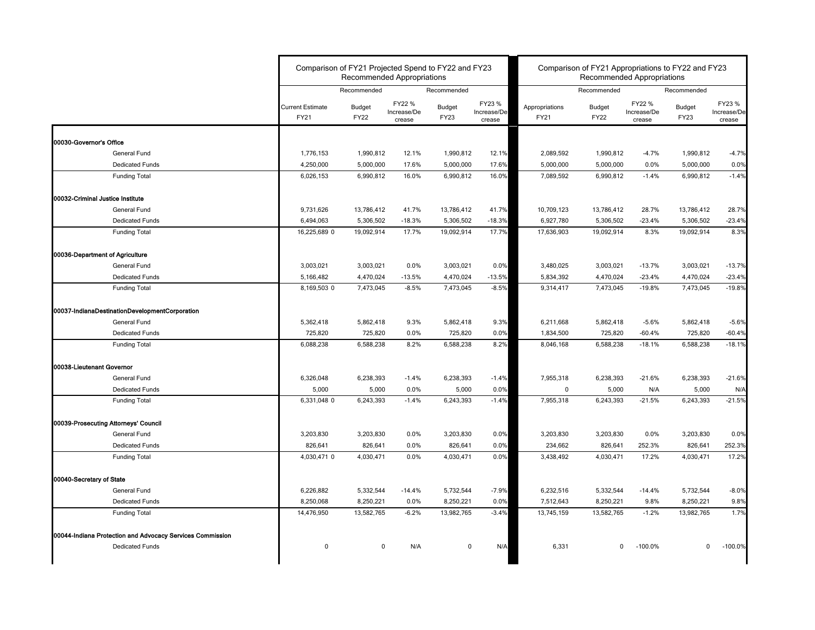|                                                           |                                 | Comparison of FY21 Projected Spend to FY22 and FY23<br><b>Recommended Appropriations</b> |                                 |                       |                                 | Comparison of FY21 Appropriations to FY22 and FY23<br><b>Recommended Appropriations</b> |                              |                                 |                              |                                 |
|-----------------------------------------------------------|---------------------------------|------------------------------------------------------------------------------------------|---------------------------------|-----------------------|---------------------------------|-----------------------------------------------------------------------------------------|------------------------------|---------------------------------|------------------------------|---------------------------------|
|                                                           |                                 | Recommended                                                                              |                                 | Recommended           |                                 |                                                                                         | Recommended                  |                                 | Recommended                  |                                 |
|                                                           | <b>Current Estimate</b><br>FY21 | Budget<br><b>FY22</b>                                                                    | FY22 %<br>Increase/De<br>crease | Budget<br><b>FY23</b> | FY23 %<br>Increase/De<br>crease | Appropriations<br><b>FY21</b>                                                           | <b>Budget</b><br><b>FY22</b> | FY22 %<br>Increase/De<br>crease | <b>Budget</b><br><b>FY23</b> | FY23 %<br>Increase/De<br>crease |
| 00030-Governor's Office                                   |                                 |                                                                                          |                                 |                       |                                 |                                                                                         |                              |                                 |                              |                                 |
| General Fund                                              | 1,776,153                       | 1,990,812                                                                                | 12.1%                           | 1,990,812             | 12.1%                           | 2,089,592                                                                               | 1,990,812                    | $-4.7%$                         | 1,990,812                    | $-4.7%$                         |
| <b>Dedicated Funds</b>                                    | 4,250,000                       | 5,000,000                                                                                | 17.6%                           | 5,000,000             | 17.6%                           | 5,000,000                                                                               | 5,000,000                    | $0.0\%$                         | 5,000,000                    | 0.0%                            |
| <b>Funding Total</b>                                      | 6,026,153                       | 6,990,812                                                                                | 16.0%                           | 6,990,812             | 16.0%                           | 7,089,592                                                                               | 6,990,812                    | $-1.4%$                         | 6,990,812                    | $-1.4%$                         |
| 00032-Criminal Justice Institute                          |                                 |                                                                                          |                                 |                       |                                 |                                                                                         |                              |                                 |                              |                                 |
| <b>General Fund</b>                                       | 9,731,626                       | 13,786,412                                                                               | 41.7%                           | 13,786,412            | 41.7%                           | 10,709,123                                                                              | 13,786,412                   | 28.7%                           | 13,786,412                   | 28.7%                           |
| <b>Dedicated Funds</b>                                    | 6,494,063                       | 5,306,502                                                                                | $-18.3%$                        | 5,306,502             | $-18.3%$                        | 6,927,780                                                                               | 5,306,502                    | $-23.4%$                        | 5,306,502                    | $-23.4%$                        |
| <b>Funding Total</b>                                      | 16,225,689 0                    | 19,092,914                                                                               | 17.7%                           | 19,092,914            | 17.7%                           | 17,636,903                                                                              | 19,092,914                   | 8.3%                            | 19,092,914                   | 8.3%                            |
| 00036-Department of Agriculture                           |                                 |                                                                                          |                                 |                       |                                 |                                                                                         |                              |                                 |                              |                                 |
| <b>General Fund</b>                                       | 3,003,021                       | 3,003,021                                                                                | 0.0%                            | 3,003,021             | 0.0%                            | 3,480,025                                                                               | 3,003,021                    | $-13.7%$                        | 3,003,021                    | $-13.7%$                        |
| <b>Dedicated Funds</b>                                    | 5,166,482                       | 4,470,024                                                                                | $-13.5%$                        | 4,470,024             | $-13.5%$                        | 5,834,392                                                                               | 4,470,024                    | $-23.4%$                        | 4,470,024                    | $-23.4%$                        |
| <b>Funding Total</b>                                      | 8,169,503 0                     | 7,473,045                                                                                | $-8.5%$                         | 7,473,045             | $-8.5%$                         | 9,314,417                                                                               | 7,473,045                    | $-19.8%$                        | 7,473,045                    | $-19.8%$                        |
| 00037-IndianaDestinationDevelopmentCorporation            |                                 |                                                                                          |                                 |                       |                                 |                                                                                         |                              |                                 |                              |                                 |
| <b>General Fund</b>                                       | 5,362,418                       | 5,862,418                                                                                | 9.3%                            | 5,862,418             | 9.3%                            | 6,211,668                                                                               | 5,862,418                    | $-5.6%$                         | 5,862,418                    | $-5.6%$                         |
| <b>Dedicated Funds</b>                                    | 725,820                         | 725,820                                                                                  | $0.0\%$                         | 725,820               | 0.0%                            | 1,834,500                                                                               | 725,820                      | $-60.4%$                        | 725,820                      | $-60.4%$                        |
| <b>Funding Total</b>                                      | 6,088,238                       | 6,588,238                                                                                | 8.2%                            | 6,588,238             | 8.2%                            | 8,046,168                                                                               | 6,588,238                    | $-18.1%$                        | 6,588,238                    | $-18.1%$                        |
| <b>100038-Lieutenant Governor</b>                         |                                 |                                                                                          |                                 |                       |                                 |                                                                                         |                              |                                 |                              |                                 |
| General Fund                                              | 6,326,048                       | 6,238,393                                                                                | $-1.4%$                         | 6,238,393             | $-1.4%$                         | 7,955,318                                                                               | 6,238,393                    | $-21.6%$                        | 6,238,393                    | $-21.6%$                        |
| <b>Dedicated Funds</b>                                    | 5,000                           | 5,000                                                                                    | 0.0%                            | 5,000                 | 0.0%                            | $\mathbf 0$                                                                             | 5,000                        | N/A                             | 5,000                        | N/A                             |
| <b>Funding Total</b>                                      | 6,331,048 0                     | 6,243,393                                                                                | $-1.4%$                         | 6,243,393             | $-1.4%$                         | 7,955,318                                                                               | 6,243,393                    | $-21.5%$                        | 6,243,393                    | $-21.5%$                        |
| 00039-Prosecuting Attorneys' Council                      |                                 |                                                                                          |                                 |                       |                                 |                                                                                         |                              |                                 |                              |                                 |
| General Fund                                              | 3,203,830                       | 3,203,830                                                                                | 0.0%                            | 3,203,830             | 0.0%                            | 3,203,830                                                                               | 3,203,830                    | 0.0%                            | 3,203,830                    | 0.0%                            |
| <b>Dedicated Funds</b>                                    | 826,641                         | 826,641                                                                                  | $0.0\%$                         | 826,641               | 0.0%                            | 234,662                                                                                 | 826,641                      | 252.3%                          | 826,641                      | 252.3%                          |
| <b>Funding Total</b>                                      | 4,030,471 0                     | 4,030,471                                                                                | $0.0\%$                         | 4,030,471             | 0.0%                            | 3,438,492                                                                               | 4,030,471                    | 17.2%                           | 4,030,471                    | 17.2%                           |
| 00040-Secretary of State                                  |                                 |                                                                                          |                                 |                       |                                 |                                                                                         |                              |                                 |                              |                                 |
| General Fund                                              | 6,226,882                       | 5,332,544                                                                                | $-14.4%$                        | 5,732,544             | $-7.9%$                         | 6,232,516                                                                               | 5,332,544                    | $-14.4%$                        | 5,732,544                    | $-8.0%$                         |
| <b>Dedicated Funds</b>                                    | 8,250,068                       | 8,250,221                                                                                | 0.0%                            | 8,250,221             | 0.0%                            | 7,512,643                                                                               | 8,250,221                    | 9.8%                            | 8,250,221                    | 9.8%                            |
| <b>Funding Total</b>                                      | 14,476,950                      | 13,582,765                                                                               | $-6.2%$                         | 13,982,765            | $-3.4%$                         | 13,745,159                                                                              | 13,582,765                   | $-1.2%$                         | 13,982,765                   | 1.7%                            |
| 00044-Indiana Protection and Advocacy Services Commission |                                 |                                                                                          |                                 |                       |                                 |                                                                                         |                              |                                 |                              |                                 |
| <b>Dedicated Funds</b>                                    | 0                               | 0                                                                                        | N/A                             | 0                     | N/A                             | 6,331                                                                                   | $\mathbf{0}$                 | $-100.0%$                       | $\mathbf 0$                  | $-100.0%$                       |
|                                                           |                                 |                                                                                          |                                 |                       |                                 |                                                                                         |                              |                                 |                              |                                 |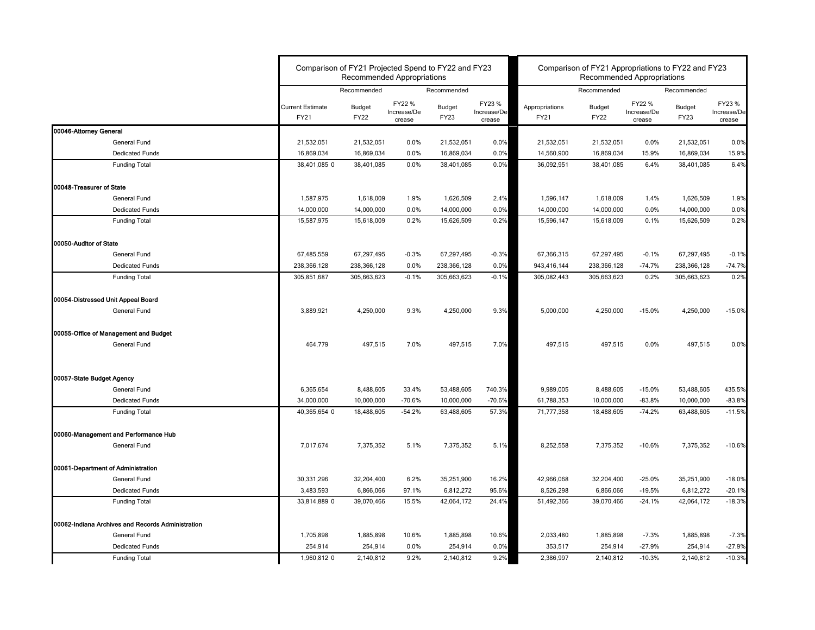|                                                   |                                        | Comparison of FY21 Projected Spend to FY22 and FY23<br><b>Recommended Appropriations</b> |                                 |                              |                                 | Comparison of FY21 Appropriations to FY22 and FY23 | <b>Recommended Appropriations</b> |                                 |                              |                                 |
|---------------------------------------------------|----------------------------------------|------------------------------------------------------------------------------------------|---------------------------------|------------------------------|---------------------------------|----------------------------------------------------|-----------------------------------|---------------------------------|------------------------------|---------------------------------|
|                                                   |                                        | Recommended                                                                              |                                 | Recommended                  |                                 |                                                    | Recommended                       |                                 | Recommended                  |                                 |
|                                                   | <b>Current Estimate</b><br><b>FY21</b> | <b>Budget</b><br><b>FY22</b>                                                             | FY22 %<br>Increase/De<br>crease | <b>Budget</b><br><b>FY23</b> | FY23 %<br>Increase/De<br>crease | Appropriations<br>FY21                             | <b>Budget</b><br><b>FY22</b>      | FY22 %<br>Increase/De<br>crease | <b>Budget</b><br><b>FY23</b> | FY23 %<br>Increase/De<br>crease |
| 00046-Attorney General                            |                                        |                                                                                          |                                 |                              |                                 |                                                    |                                   |                                 |                              |                                 |
| General Fund                                      | 21,532,051                             | 21,532,051                                                                               | $0.0\%$                         | 21,532,051                   | 0.0%                            | 21,532,051                                         | 21,532,051                        | 0.0%                            | 21,532,051                   | 0.0%                            |
| <b>Dedicated Funds</b>                            | 16,869,034                             | 16,869,034                                                                               | $0.0\%$                         | 16,869,034                   | 0.0%                            | 14,560,900                                         | 16,869,034                        | 15.9%                           | 16,869,034                   | 15.9%                           |
| <b>Funding Total</b>                              | 38,401,085 0                           | 38,401,085                                                                               | 0.0%                            | 38,401,085                   | 0.0%                            | 36,092,951                                         | 38,401,085                        | 6.4%                            | 38,401,085                   | 6.4%                            |
| 00048-Treasurer of State                          |                                        |                                                                                          |                                 |                              |                                 |                                                    |                                   |                                 |                              |                                 |
| General Fund                                      | 1,587,975                              | 1,618,009                                                                                | 1.9%                            | 1,626,509                    | 2.4%                            | 1,596,147                                          | 1,618,009                         | 1.4%                            | 1,626,509                    | 1.9%                            |
| <b>Dedicated Funds</b>                            | 14,000,000                             | 14,000,000                                                                               | $0.0\%$                         | 14,000,000                   | 0.0%                            | 14,000,000                                         | 14,000,000                        | 0.0%                            | 14,000,000                   | 0.0%                            |
| <b>Funding Total</b>                              | 15,587,975                             | 15,618,009                                                                               | 0.2%                            | 15,626,509                   | 0.2%                            | 15,596,147                                         | 15,618,009                        | 0.1%                            | 15,626,509                   | 0.2%                            |
| 00050-Auditor of State                            |                                        |                                                                                          |                                 |                              |                                 |                                                    |                                   |                                 |                              |                                 |
| General Fund                                      | 67,485,559                             | 67,297,495                                                                               | $-0.3%$                         | 67,297,495                   | $-0.3%$                         | 67,366,315                                         | 67,297,495                        | $-0.1%$                         | 67,297,495                   | $-0.1%$                         |
| <b>Dedicated Funds</b>                            | 238,366,128                            | 238,366,128                                                                              | 0.0%                            | 238,366,128                  | 0.0%                            | 943,416,144                                        | 238,366,128                       | $-74.7%$                        | 238,366,128                  | $-74.7%$                        |
| <b>Funding Total</b>                              | 305,851,687                            | 305,663,623                                                                              | $-0.1%$                         | 305,663,623                  | $-0.1%$                         | 305,082,443                                        | 305,663,623                       | 0.2%                            | 305,663,623                  | 0.2%                            |
| 00054-Distressed Unit Appeal Board                |                                        |                                                                                          |                                 |                              |                                 |                                                    |                                   |                                 |                              |                                 |
| General Fund                                      | 3,889,921                              | 4,250,000                                                                                | 9.3%                            | 4,250,000                    | 9.3%                            | 5,000,000                                          | 4,250,000                         | $-15.0%$                        | 4,250,000                    | $-15.0%$                        |
| 00055-Office of Management and Budget             |                                        |                                                                                          |                                 |                              |                                 |                                                    |                                   |                                 |                              |                                 |
| General Fund                                      | 464,779                                | 497,515                                                                                  | 7.0%                            | 497,515                      | 7.0%                            | 497,515                                            | 497,515                           | 0.0%                            | 497,515                      | 0.0%                            |
| 00057-State Budget Agency                         |                                        |                                                                                          |                                 |                              |                                 |                                                    |                                   |                                 |                              |                                 |
| General Fund                                      | 6,365,654                              | 8,488,605                                                                                | 33.4%                           | 53,488,605                   | 740.3%                          | 9,989,005                                          | 8,488,605                         | $-15.0%$                        | 53,488,605                   | 435.5%                          |
| <b>Dedicated Funds</b>                            | 34,000,000                             | 10,000,000                                                                               | $-70.6%$                        | 10,000,000                   | $-70.6%$                        | 61,788,353                                         | 10,000,000                        | $-83.8%$                        | 10,000,000                   | $-83.8%$                        |
| <b>Funding Total</b>                              | 40,365,654 0                           | 18,488,605                                                                               | $-54.2%$                        | 63,488,605                   | 57.3%                           | 71,777,358                                         | 18,488,605                        | $-74.2%$                        | 63,488,605                   | $-11.5%$                        |
| 00060-Management and Performance Hub              |                                        |                                                                                          |                                 |                              |                                 |                                                    |                                   |                                 |                              |                                 |
| <b>General Fund</b>                               | 7,017,674                              | 7,375,352                                                                                | 5.1%                            | 7,375,352                    | 5.1%                            | 8,252,558                                          | 7,375,352                         | $-10.6%$                        | 7,375,352                    | $-10.6%$                        |
| 00061-Department of Administration                |                                        |                                                                                          |                                 |                              |                                 |                                                    |                                   |                                 |                              |                                 |
| General Fund                                      | 30,331,296                             | 32,204,400                                                                               | 6.2%                            | 35,251,900                   | 16.2%                           | 42,966,068                                         | 32,204,400                        | $-25.0%$                        | 35,251,900                   | $-18.0%$                        |
| <b>Dedicated Funds</b>                            | 3,483,593                              | 6,866,066                                                                                | 97.1%                           | 6,812,272                    | 95.6%                           | 8,526,298                                          | 6,866,066                         | $-19.5%$                        | 6,812,272                    | $-20.1%$                        |
| <b>Funding Total</b>                              | 33,814,889 0                           | 39,070,466                                                                               | 15.5%                           | 42,064,172                   | 24.4%                           | 51,492,366                                         | 39,070,466                        | $-24.1%$                        | 42,064,172                   | $-18.3%$                        |
| 00062-Indiana Archives and Records Administration |                                        |                                                                                          |                                 |                              |                                 |                                                    |                                   |                                 |                              |                                 |
| General Fund                                      | 1,705,898                              | 1,885,898                                                                                | 10.6%                           | 1,885,898                    | 10.6%                           | 2,033,480                                          | 1,885,898                         | $-7.3%$                         | 1,885,898                    | $-7.3%$                         |
| <b>Dedicated Funds</b>                            | 254,914                                | 254,914                                                                                  | $0.0\%$                         | 254,914                      | 0.0%                            | 353,517                                            | 254,914                           | $-27.9%$                        | 254,914                      | $-27.9%$                        |
| <b>Funding Total</b>                              | 1,960,812 0                            | 2,140,812                                                                                | 9.2%                            | 2,140,812                    | 9.2%                            | 2,386,997                                          | 2,140,812                         | $-10.3%$                        | 2,140,812                    | $-10.3%$                        |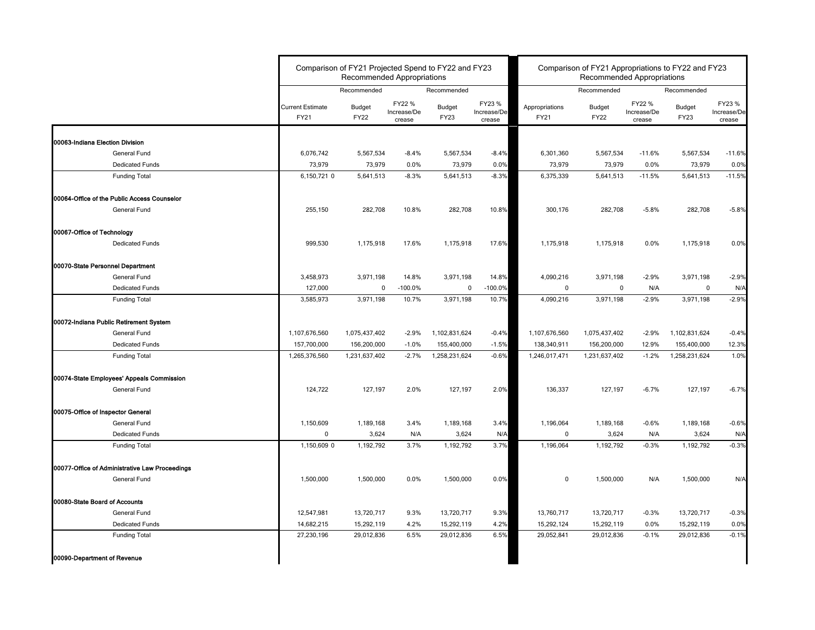|                                                |                                        | Comparison of FY21 Projected Spend to FY22 and FY23<br><b>Recommended Appropriations</b> |                                 |                              |                                 | Comparison of FY21 Appropriations to FY22 and FY23<br><b>Recommended Appropriations</b> |                              |                                 |                       |                                 |  |
|------------------------------------------------|----------------------------------------|------------------------------------------------------------------------------------------|---------------------------------|------------------------------|---------------------------------|-----------------------------------------------------------------------------------------|------------------------------|---------------------------------|-----------------------|---------------------------------|--|
|                                                |                                        | Recommended                                                                              |                                 | Recommended                  |                                 |                                                                                         | Recommended                  |                                 | Recommended           |                                 |  |
|                                                | <b>Current Estimate</b><br><b>FY21</b> | <b>Budget</b><br><b>FY22</b>                                                             | FY22 %<br>Increase/De<br>crease | <b>Budget</b><br><b>FY23</b> | FY23 %<br>Increase/De<br>crease | Appropriations<br><b>FY21</b>                                                           | <b>Budget</b><br><b>FY22</b> | FY22 %<br>Increase/De<br>crease | Budget<br><b>FY23</b> | FY23 %<br>Increase/De<br>crease |  |
| 00063-Indiana Election Division                |                                        |                                                                                          |                                 |                              |                                 |                                                                                         |                              |                                 |                       |                                 |  |
| General Fund                                   | 6,076,742                              | 5,567,534                                                                                | $-8.4%$                         | 5,567,534                    | $-8.4%$                         | 6,301,360                                                                               | 5,567,534                    | $-11.6%$                        | 5,567,534             | $-11.6%$                        |  |
| <b>Dedicated Funds</b>                         | 73,979                                 | 73,979                                                                                   | 0.0%                            | 73,979                       | 0.0%                            | 73,979                                                                                  | 73,979                       | 0.0%                            | 73,979                | 0.0%                            |  |
| <b>Funding Total</b>                           | 6,150,721 0                            | 5,641,513                                                                                | $-8.3%$                         | 5,641,513                    | $-8.3%$                         | 6,375,339                                                                               | 5,641,513                    | $-11.5%$                        | 5,641,513             | $-11.5%$                        |  |
| 00064-Office of the Public Access Counselor    |                                        |                                                                                          |                                 |                              |                                 |                                                                                         |                              |                                 |                       |                                 |  |
| <b>General Fund</b>                            | 255,150                                | 282,708                                                                                  | 10.8%                           | 282,708                      | 10.8%                           | 300,176                                                                                 | 282,708                      | $-5.8%$                         | 282,708               | $-5.8%$                         |  |
| 00067-Office of Technology                     |                                        |                                                                                          |                                 |                              |                                 |                                                                                         |                              |                                 |                       |                                 |  |
| <b>Dedicated Funds</b>                         | 999,530                                | 1,175,918                                                                                | 17.6%                           | 1,175,918                    | 17.6%                           | 1,175,918                                                                               | 1,175,918                    | 0.0%                            | 1,175,918             | 0.0%                            |  |
| 00070-State Personnel Department               |                                        |                                                                                          |                                 |                              |                                 |                                                                                         |                              |                                 |                       |                                 |  |
| General Fund                                   | 3,458,973                              | 3,971,198                                                                                | 14.8%                           | 3,971,198                    | 14.8%                           | 4,090,216                                                                               | 3,971,198                    | $-2.9%$                         | 3,971,198             | $-2.9%$                         |  |
| <b>Dedicated Funds</b>                         | 127,000                                | 0                                                                                        | $-100.0\%$                      | 0                            | $-100.0%$                       | $\mathbf{0}$                                                                            | $\mathbf 0$                  | N/A                             | 0                     | N/A                             |  |
| <b>Funding Total</b>                           | 3,585,973                              | 3,971,198                                                                                | 10.7%                           | 3,971,198                    | 10.7%                           | 4,090,216                                                                               | 3,971,198                    | $-2.9%$                         | 3,971,198             | $-2.9%$                         |  |
| 00072-Indiana Public Retirement System         |                                        |                                                                                          |                                 |                              |                                 |                                                                                         |                              |                                 |                       |                                 |  |
| <b>General Fund</b>                            | 1,107,676,560                          | 1,075,437,402                                                                            | $-2.9%$                         | 1,102,831,624                | $-0.4%$                         | 1,107,676,560                                                                           | 1,075,437,402                | $-2.9%$                         | 1,102,831,624         | $-0.4%$                         |  |
| <b>Dedicated Funds</b>                         | 157,700,000                            | 156,200,000                                                                              | $-1.0%$                         | 155,400,000                  | $-1.5%$                         | 138,340,911                                                                             | 156,200,000                  | 12.9%                           | 155,400,000           | 12.3%                           |  |
| <b>Funding Total</b>                           | 1,265,376,560                          | 1,231,637,402                                                                            | $-2.7%$                         | 1,258,231,624                | $-0.6%$                         | 1,246,017,471                                                                           | 1,231,637,402                | $-1.2%$                         | 1,258,231,624         | 1.0%                            |  |
| 00074-State Employees' Appeals Commission      |                                        |                                                                                          |                                 |                              |                                 |                                                                                         |                              |                                 |                       |                                 |  |
| General Fund                                   | 124,722                                | 127,197                                                                                  | 2.0%                            | 127,197                      | 2.0%                            | 136,337                                                                                 | 127,197                      | $-6.7%$                         | 127,197               | $-6.7%$                         |  |
| 00075-Office of Inspector General              |                                        |                                                                                          |                                 |                              |                                 |                                                                                         |                              |                                 |                       |                                 |  |
| General Fund                                   | 1,150,609                              | 1,189,168                                                                                | 3.4%                            | 1,189,168                    | 3.4%                            | 1,196,064                                                                               | 1,189,168                    | $-0.6%$                         | 1,189,168             | $-0.6%$                         |  |
| <b>Dedicated Funds</b>                         | 0                                      | 3,624                                                                                    | N/A                             | 3,624                        | N/A                             | $\mathbf{0}$                                                                            | 3,624                        | N/A                             | 3,624                 | N/A                             |  |
| <b>Funding Total</b>                           | 1,150,609 0                            | 1,192,792                                                                                | 3.7%                            | 1,192,792                    | 3.7%                            | 1,196,064                                                                               | 1,192,792                    | $-0.3%$                         | 1,192,792             | $-0.3%$                         |  |
| 00077-Office of Administrative Law Proceedings |                                        |                                                                                          |                                 |                              |                                 |                                                                                         |                              |                                 |                       |                                 |  |
| General Fund                                   | 1,500,000                              | 1,500,000                                                                                | 0.0%                            | 1,500,000                    | 0.0%                            | $\mathbf 0$                                                                             | 1,500,000                    | N/A                             | 1,500,000             | N/A                             |  |
| 00080-State Board of Accounts                  |                                        |                                                                                          |                                 |                              |                                 |                                                                                         |                              |                                 |                       |                                 |  |
| <b>General Fund</b>                            | 12,547,981                             | 13,720,717                                                                               | 9.3%                            | 13,720,717                   | 9.3%                            | 13,760,717                                                                              | 13,720,717                   | $-0.3%$                         | 13,720,717            | $-0.3%$                         |  |
| <b>Dedicated Funds</b>                         | 14,682,215                             | 15,292,119                                                                               | 4.2%                            | 15,292,119                   | 4.2%                            | 15,292,124                                                                              | 15,292,119                   | $0.0\%$                         | 15,292,119            | 0.0%                            |  |
| <b>Funding Total</b>                           | 27,230,196                             | 29,012,836                                                                               | 6.5%                            | 29,012,836                   | 6.5%                            | 29,052,841                                                                              | 29,012,836                   | $-0.1%$                         | 29,012,836            | $-0.1%$                         |  |
| 00090-Department of Revenue                    |                                        |                                                                                          |                                 |                              |                                 |                                                                                         |                              |                                 |                       |                                 |  |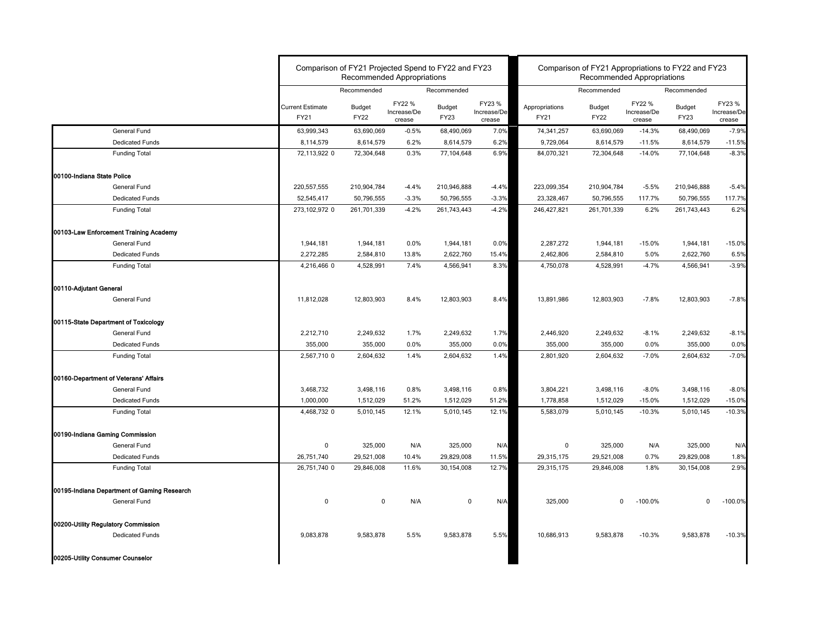|                                             | Comparison of FY21 Projected Spend to FY22 and FY23<br>Comparison of FY21 Appropriations to FY22 and FY23<br><b>Recommended Appropriations</b><br><b>Recommended Appropriations</b> |                       |                                 |                              |                                 |                        |                              |                                 |                              |                                 |
|---------------------------------------------|-------------------------------------------------------------------------------------------------------------------------------------------------------------------------------------|-----------------------|---------------------------------|------------------------------|---------------------------------|------------------------|------------------------------|---------------------------------|------------------------------|---------------------------------|
|                                             |                                                                                                                                                                                     | Recommended           |                                 | Recommended                  |                                 |                        | Recommended                  |                                 | Recommended                  |                                 |
|                                             | <b>Current Estimate</b><br>FY21                                                                                                                                                     | Budget<br><b>FY22</b> | FY22 %<br>Increase/De<br>crease | <b>Budget</b><br><b>FY23</b> | FY23 %<br>Increase/De<br>crease | Appropriations<br>FY21 | <b>Budget</b><br><b>FY22</b> | FY22 %<br>Increase/De<br>crease | <b>Budget</b><br><b>FY23</b> | FY23 %<br>Increase/De<br>crease |
| General Fund                                | 63,999,343                                                                                                                                                                          | 63,690,069            | $-0.5%$                         | 68,490,069                   | 7.0%                            | 74,341,257             | 63,690,069                   | $-14.3%$                        | 68,490,069                   | $-7.9%$                         |
| <b>Dedicated Funds</b>                      | 8,114,579                                                                                                                                                                           | 8,614,579             | 6.2%                            | 8,614,579                    | 6.2%                            | 9,729,064              | 8,614,579                    | $-11.5%$                        | 8,614,579                    | $-11.5%$                        |
| <b>Funding Total</b>                        | 72,113,922 0                                                                                                                                                                        | 72,304,648            | 0.3%                            | 77,104,648                   | 6.9%                            | 84,070,321             | 72,304,648                   | $-14.0%$                        | 77,104,648                   | $-8.3%$                         |
| 00100-Indiana State Police                  |                                                                                                                                                                                     |                       |                                 |                              |                                 |                        |                              |                                 |                              |                                 |
| <b>General Fund</b>                         | 220,557,555                                                                                                                                                                         | 210,904,784           | $-4.4%$                         | 210,946,888                  | $-4.4%$                         | 223,099,354            | 210,904,784                  | $-5.5%$                         | 210,946,888                  | $-5.4%$                         |
| <b>Dedicated Funds</b>                      | 52,545,417                                                                                                                                                                          | 50,796,555            | $-3.3%$                         | 50,796,555                   | $-3.3%$                         | 23,328,467             | 50,796,555                   | 117.7%                          | 50,796,555                   | 117.7%                          |
| <b>Funding Total</b>                        | 273,102,972 0                                                                                                                                                                       | 261,701,339           | $-4.2%$                         | 261,743,443                  | $-4.2%$                         | 246,427,821            | 261,701,339                  | 6.2%                            | 261,743,443                  | 6.2%                            |
| 00103-Law Enforcement Training Academy      |                                                                                                                                                                                     |                       |                                 |                              |                                 |                        |                              |                                 |                              |                                 |
| General Fund                                | 1,944,181                                                                                                                                                                           | 1,944,181             | 0.0%                            | 1,944,181                    | 0.0%                            | 2,287,272              | 1,944,181                    | $-15.0%$                        | 1,944,181                    | $-15.0%$                        |
| <b>Dedicated Funds</b>                      | 2,272,285                                                                                                                                                                           | 2,584,810             | 13.8%                           | 2,622,760                    | 15.4%                           | 2,462,806              | 2,584,810                    | 5.0%                            | 2,622,760                    | 6.5%                            |
| <b>Funding Total</b>                        | 4,216,466 0                                                                                                                                                                         | 4,528,991             | 7.4%                            | 4,566,941                    | 8.3%                            | 4,750,078              | 4,528,991                    | $-4.7%$                         | 4,566,941                    | $-3.9%$                         |
| 00110-Adjutant General                      |                                                                                                                                                                                     |                       |                                 |                              |                                 |                        |                              |                                 |                              |                                 |
| General Fund                                | 11,812,028                                                                                                                                                                          | 12,803,903            | 8.4%                            | 12,803,903                   | 8.4%                            | 13,891,986             | 12,803,903                   | $-7.8%$                         | 12,803,903                   | $-7.8%$                         |
| 00115-State Department of Toxicology        |                                                                                                                                                                                     |                       |                                 |                              |                                 |                        |                              |                                 |                              |                                 |
| General Fund                                | 2,212,710                                                                                                                                                                           | 2,249,632             | 1.7%                            | 2,249,632                    | 1.7%                            | 2,446,920              | 2,249,632                    | $-8.1%$                         | 2,249,632                    | $-8.1%$                         |
| <b>Dedicated Funds</b>                      | 355,000                                                                                                                                                                             | 355,000               | 0.0%                            | 355,000                      | 0.0%                            | 355,000                | 355,000                      | 0.0%                            | 355,000                      | 0.0%                            |
| <b>Funding Total</b>                        | 2,567,710 0                                                                                                                                                                         | 2,604,632             | 1.4%                            | 2,604,632                    | 1.4%                            | 2,801,920              | 2,604,632                    | $-7.0%$                         | 2,604,632                    | $-7.0%$                         |
| 00160-Department of Veterans' Affairs       |                                                                                                                                                                                     |                       |                                 |                              |                                 |                        |                              |                                 |                              |                                 |
| General Fund                                | 3,468,732                                                                                                                                                                           | 3,498,116             | 0.8%                            | 3,498,116                    | 0.8%                            | 3,804,221              | 3,498,116                    | $-8.0%$                         | 3,498,116                    | $-8.0%$                         |
| Dedicated Funds                             | 1,000,000                                                                                                                                                                           | 1,512,029             | 51.2%                           | 1,512,029                    | 51.2%                           | 1,778,858              | 1,512,029                    | $-15.0%$                        | 1,512,029                    | $-15.0%$                        |
| <b>Funding Total</b>                        | 4,468,732 0                                                                                                                                                                         | 5,010,145             | 12.1%                           | 5,010,145                    | 12.1%                           | 5,583,079              | 5,010,145                    | $-10.3%$                        | 5,010,145                    | $-10.3%$                        |
| 00190-Indiana Gaming Commission             |                                                                                                                                                                                     |                       |                                 |                              |                                 |                        |                              |                                 |                              |                                 |
| <b>General Fund</b>                         | 0                                                                                                                                                                                   | 325,000               | N/A                             | 325,000                      | N/A                             | 0                      | 325,000                      | N/A                             | 325,000                      | N/A                             |
| <b>Dedicated Funds</b>                      | 26,751,740                                                                                                                                                                          | 29,521,008            | 10.4%                           | 29,829,008                   | 11.5%                           | 29,315,175             | 29,521,008                   | 0.7%                            | 29,829,008                   | 1.8%                            |
| <b>Funding Total</b>                        | 26,751,740 0                                                                                                                                                                        | 29,846,008            | 11.6%                           | 30,154,008                   | 12.7%                           | 29,315,175             | 29,846,008                   | 1.8%                            | 30,154,008                   | 2.9%                            |
| 00195-Indiana Department of Gaming Research |                                                                                                                                                                                     |                       |                                 |                              |                                 |                        |                              |                                 |                              |                                 |
| General Fund                                | 0                                                                                                                                                                                   | 0                     | N/A                             | 0                            | N/A                             | 325,000                | $\mathbf{0}$                 | $-100.0%$                       | 0                            | $-100.0%$                       |
| 00200-Utility Regulatory Commission         |                                                                                                                                                                                     |                       |                                 |                              |                                 |                        |                              |                                 |                              |                                 |
| <b>Dedicated Funds</b>                      | 9,083,878                                                                                                                                                                           | 9,583,878             | 5.5%                            | 9,583,878                    | 5.5%                            | 10,686,913             | 9,583,878                    | $-10.3%$                        | 9,583,878                    | $-10.3%$                        |
| 00205-Utility Consumer Counselor            |                                                                                                                                                                                     |                       |                                 |                              |                                 |                        |                              |                                 |                              |                                 |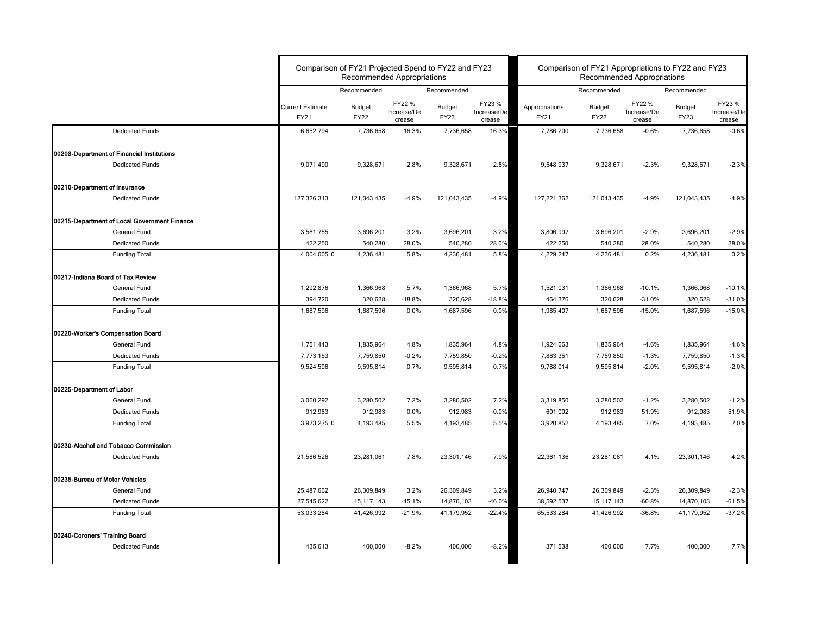|                                              |                                 | Comparison of FY21 Projected Spend to FY22 and FY23<br><b>Recommended Appropriations</b> |                                 | Comparison of FY21 Appropriations to FY22 and FY23<br><b>Recommended Appropriations</b> |                                 |                        |                              |                                 |                       |                                 |
|----------------------------------------------|---------------------------------|------------------------------------------------------------------------------------------|---------------------------------|-----------------------------------------------------------------------------------------|---------------------------------|------------------------|------------------------------|---------------------------------|-----------------------|---------------------------------|
|                                              |                                 | Recommended                                                                              |                                 | Recommended                                                                             |                                 |                        | Recommended                  |                                 | Recommended           |                                 |
|                                              | <b>Current Estimate</b><br>FY21 | <b>Budget</b><br><b>FY22</b>                                                             | FY22 %<br>Increase/De<br>crease | <b>Budget</b><br>FY23                                                                   | FY23 %<br>Increase/De<br>crease | Appropriations<br>FY21 | <b>Budget</b><br><b>FY22</b> | FY22 %<br>Increase/De<br>crease | <b>Budget</b><br>FY23 | FY23 %<br>Increase/De<br>crease |
| <b>Dedicated Funds</b>                       | 6,652,794                       | 7,736,658                                                                                | 16.3%                           | 7,736,658                                                                               | 16.3%                           | 7,786,200              | 7,736,658                    | $-0.6%$                         | 7,736,658             | $-0.6%$                         |
| 00208-Department of Financial Institutions   |                                 |                                                                                          |                                 |                                                                                         |                                 |                        |                              |                                 |                       |                                 |
| <b>Dedicated Funds</b>                       | 9,071,490                       | 9,328,671                                                                                | 2.8%                            | 9,328,671                                                                               | 2.8%                            | 9,548,937              | 9,328,671                    | $-2.3%$                         | 9,328,671             | $-2.3%$                         |
| 00210-Department of Insurance                |                                 |                                                                                          |                                 |                                                                                         |                                 |                        |                              |                                 |                       |                                 |
| <b>Dedicated Funds</b>                       | 127,326,313                     | 121,043,435                                                                              | $-4.9%$                         | 121,043,435                                                                             | $-4.9%$                         | 127,221,362            | 121,043,435                  | $-4.9%$                         | 121,043,435           | $-4.9%$                         |
| 00215-Department of Local Government Finance |                                 |                                                                                          |                                 |                                                                                         |                                 |                        |                              |                                 |                       |                                 |
| General Fund                                 | 3,581,755                       | 3,696,201                                                                                | 3.2%                            | 3,696,201                                                                               | 3.2%                            | 3,806,997              | 3,696,201                    | $-2.9%$                         | 3,696,201             | $-2.9%$                         |
| <b>Dedicated Funds</b>                       | 422,250                         | 540,280                                                                                  | 28.0%                           | 540,280                                                                                 | 28.0%                           | 422,250                | 540,280                      | 28.0%                           | 540,280               | 28.0%                           |
| <b>Funding Total</b>                         | 4,004,005 0                     | 4,236,481                                                                                | 5.8%                            | 4,236,481                                                                               | 5.8%                            | 4,229,247              | 4,236,481                    | 0.2%                            | 4,236,481             | 0.2%                            |
| 00217-Indiana Board of Tax Review            |                                 |                                                                                          |                                 |                                                                                         |                                 |                        |                              |                                 |                       |                                 |
| <b>General Fund</b>                          | 1,292,876                       | 1,366,968                                                                                | 5.7%                            | 1,366,968                                                                               | 5.7%                            | 1,521,031              | 1,366,968                    | $-10.1%$                        | 1,366,968             | $-10.1%$                        |
| <b>Dedicated Funds</b>                       | 394,720                         | 320,628                                                                                  | $-18.8%$                        | 320,628                                                                                 | $-18.8%$                        | 464,376                | 320,628                      | $-31.0%$                        | 320,628               | $-31.0%$                        |
| <b>Funding Total</b>                         | 1,687,596                       | 1,687,596                                                                                | 0.0%                            | 1,687,596                                                                               | 0.0%                            | 1,985,407              | 1,687,596                    | $-15.0%$                        | 1,687,596             | $-15.0%$                        |
| 00220-Worker's Compensation Board            |                                 |                                                                                          |                                 |                                                                                         |                                 |                        |                              |                                 |                       |                                 |
| General Fund                                 | 1,751,443                       | 1,835,964                                                                                | 4.8%                            | 1,835,964                                                                               | 4.8%                            | 1,924,663              | 1,835,964                    | $-4.6%$                         | 1,835,964             | $-4.6%$                         |
| <b>Dedicated Funds</b>                       | 7,773,153                       | 7,759,850                                                                                | $-0.2%$                         | 7,759,850                                                                               | $-0.2%$                         | 7,863,351              | 7,759,850                    | $-1.3%$                         | 7,759,850             | $-1.3%$                         |
| <b>Funding Total</b>                         | 9,524,596                       | 9,595,814                                                                                | 0.7%                            | 9,595,814                                                                               | 0.7%                            | 9,788,014              | 9,595,814                    | $-2.0%$                         | 9,595,814             | $-2.0%$                         |
| 00225-Department of Labor                    |                                 |                                                                                          |                                 |                                                                                         |                                 |                        |                              |                                 |                       |                                 |
| <b>General Fund</b>                          | 3,060,292                       | 3,280,502                                                                                | 7.2%                            | 3,280,502                                                                               | 7.2%                            | 3,319,850              | 3,280,502                    | $-1.2%$                         | 3,280,502             | $-1.2%$                         |
| <b>Dedicated Funds</b>                       | 912,983                         | 912,983                                                                                  | $0.0\%$                         | 912,983                                                                                 | 0.0%                            | 601,002                | 912,983                      | 51.9%                           | 912,983               | 51.9%                           |
| <b>Funding Total</b>                         | 3,973,275 0                     | 4,193,485                                                                                | 5.5%                            | 4,193,485                                                                               | 5.5%                            | 3,920,852              | 4,193,485                    | 7.0%                            | 4,193,485             | 7.0%                            |
| 00230-Alcohol and Tobacco Commission         |                                 |                                                                                          |                                 |                                                                                         |                                 |                        |                              |                                 |                       |                                 |
| <b>Dedicated Funds</b>                       | 21,586,526                      | 23,281,061                                                                               | 7.8%                            | 23,301,146                                                                              | 7.9%                            | 22,361,136             | 23,281,061                   | 4.1%                            | 23,301,146            | 4.2%                            |
| 00235-Bureau of Motor Vehicles               |                                 |                                                                                          |                                 |                                                                                         |                                 |                        |                              |                                 |                       |                                 |
| <b>General Fund</b>                          | 25,487,662                      | 26,309,849                                                                               | 3.2%                            | 26,309,849                                                                              | 3.2%                            | 26,940,747             | 26,309,849                   | $-2.3%$                         | 26,309,849            | $-2.3%$                         |
| <b>Dedicated Funds</b>                       | 27,545,622                      | 15, 117, 143                                                                             | $-45.1%$                        | 14,870,103                                                                              | -46.0%                          | 38,592,537             | 15, 117, 143                 | $-60.8%$                        | 14,870,103            | $-61.5%$                        |
| <b>Funding Total</b>                         | 53,033,284                      | 41,426,992                                                                               | $-21.9%$                        | 41,179,952                                                                              | $-22.4%$                        | 65,533,284             | 41,426,992                   | $-36.8%$                        | 41,179,952            | $-37.2%$                        |
| 00240-Coroners' Training Board               |                                 |                                                                                          |                                 |                                                                                         |                                 |                        |                              |                                 |                       |                                 |
| <b>Dedicated Funds</b>                       | 435,613                         | 400,000                                                                                  | $-8.2%$                         | 400,000                                                                                 | $-8.2%$                         | 371,538                | 400,000                      | 7.7%                            | 400,000               | 7.7%                            |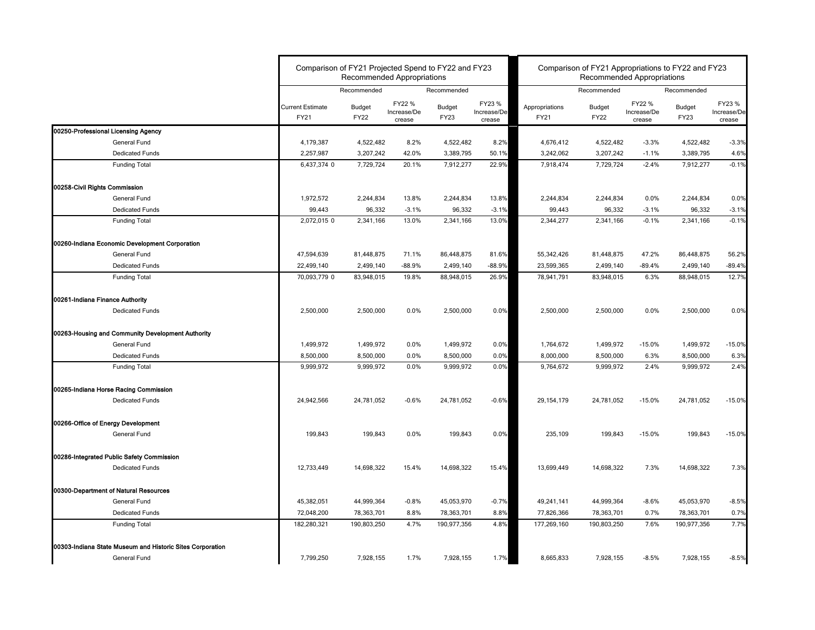|                                                           |                                 | Comparison of FY21 Projected Spend to FY22 and FY23<br><b>Recommended Appropriations</b> |                                 |                              |                                 | Comparison of FY21 Appropriations to FY22 and FY23<br><b>Recommended Appropriations</b> |                              |                                 |                              |                                 |
|-----------------------------------------------------------|---------------------------------|------------------------------------------------------------------------------------------|---------------------------------|------------------------------|---------------------------------|-----------------------------------------------------------------------------------------|------------------------------|---------------------------------|------------------------------|---------------------------------|
|                                                           |                                 | Recommended                                                                              |                                 | Recommended                  |                                 |                                                                                         | Recommended                  |                                 | Recommended                  |                                 |
|                                                           | <b>Current Estimate</b><br>FY21 | <b>Budget</b><br><b>FY22</b>                                                             | FY22 %<br>Increase/De<br>crease | <b>Budget</b><br><b>FY23</b> | FY23 %<br>Increase/De<br>crease | Appropriations<br><b>FY21</b>                                                           | <b>Budget</b><br><b>FY22</b> | FY22 %<br>Increase/De<br>crease | <b>Budget</b><br><b>FY23</b> | FY23 %<br>Increase/De<br>crease |
| 00250-Professional Licensing Agency                       |                                 |                                                                                          |                                 |                              |                                 |                                                                                         |                              |                                 |                              |                                 |
| General Fund                                              | 4,179,387                       | 4,522,482                                                                                | 8.2%                            | 4,522,482                    | 8.2%                            | 4,676,412                                                                               | 4,522,482                    | $-3.3%$                         | 4,522,482                    | $-3.3%$                         |
| <b>Dedicated Funds</b>                                    | 2,257,987                       | 3,207,242                                                                                | 42.0%                           | 3,389,795                    | 50.1%                           | 3,242,062                                                                               | 3,207,242                    | $-1.1%$                         | 3,389,795                    | 4.6%                            |
| <b>Funding Total</b>                                      | 6,437,374 0                     | 7,729,724                                                                                | 20.1%                           | 7,912,277                    | 22.9%                           | 7,918,474                                                                               | 7,729,724                    | $-2.4%$                         | 7,912,277                    | $-0.1%$                         |
| 00258-Civil Rights Commission                             |                                 |                                                                                          |                                 |                              |                                 |                                                                                         |                              |                                 |                              |                                 |
| General Fund                                              | 1,972,572                       | 2,244,834                                                                                | 13.8%                           | 2,244,834                    | 13.8%                           | 2,244,834                                                                               | 2,244,834                    | $0.0\%$                         | 2,244,834                    | 0.0%                            |
| <b>Dedicated Funds</b>                                    | 99,443                          | 96,332                                                                                   | $-3.1%$                         | 96,332                       | $-3.1%$                         | 99,443                                                                                  | 96,332                       | $-3.1%$                         | 96,332                       | $-3.1%$                         |
| <b>Funding Total</b>                                      | 2,072,015 0                     | 2,341,166                                                                                | 13.0%                           | 2,341,166                    | 13.0%                           | 2,344,277                                                                               | 2,341,166                    | $-0.1%$                         | 2,341,166                    | $-0.1%$                         |
| 00260-Indiana Economic Development Corporation            |                                 |                                                                                          |                                 |                              |                                 |                                                                                         |                              |                                 |                              |                                 |
| General Fund                                              | 47,594,639                      | 81,448,875                                                                               | 71.1%                           | 86,448,875                   | 81.6%                           | 55,342,426                                                                              | 81,448,875                   | 47.2%                           | 86,448,875                   | 56.2%                           |
| <b>Dedicated Funds</b>                                    | 22,499,140                      | 2,499,140                                                                                | $-88.9%$                        | 2,499,140                    | $-88.9%$                        | 23,599,365                                                                              | 2,499,140                    | $-89.4%$                        | 2,499,140                    | $-89.4%$                        |
| <b>Funding Total</b>                                      | 70,093,779 0                    | 83,948,015                                                                               | 19.8%                           | 88,948,015                   | 26.9%                           | 78,941,791                                                                              | 83,948,015                   | 6.3%                            | 88,948,015                   | 12.7%                           |
| 00261-Indiana Finance Authority                           |                                 |                                                                                          |                                 |                              |                                 |                                                                                         |                              |                                 |                              |                                 |
| <b>Dedicated Funds</b>                                    | 2,500,000                       | 2,500,000                                                                                | $0.0\%$                         | 2,500,000                    | 0.0%                            | 2,500,000                                                                               | 2,500,000                    | 0.0%                            | 2,500,000                    | 0.0%                            |
| 00263-Housing and Community Development Authority         |                                 |                                                                                          |                                 |                              |                                 |                                                                                         |                              |                                 |                              |                                 |
| <b>General Fund</b>                                       | 1,499,972                       | 1,499,972                                                                                | $0.0\%$                         | 1,499,972                    | 0.0%                            | 1,764,672                                                                               | 1,499,972                    | $-15.0%$                        | 1,499,972                    | $-15.0%$                        |
| <b>Dedicated Funds</b>                                    | 8,500,000                       | 8,500,000                                                                                | $0.0\%$                         | 8,500,000                    | 0.0%                            | 8,000,000                                                                               | 8,500,000                    | 6.3%                            | 8,500,000                    | 6.3%                            |
| <b>Funding Total</b>                                      | 9,999,972                       | 9,999,972                                                                                | $0.0\%$                         | 9,999,972                    | 0.0%                            | 9,764,672                                                                               | 9,999,972                    | 2.4%                            | 9,999,972                    | 2.4%                            |
| 00265-Indiana Horse Racing Commission                     |                                 |                                                                                          |                                 |                              |                                 |                                                                                         |                              |                                 |                              |                                 |
| <b>Dedicated Funds</b>                                    | 24,942,566                      | 24,781,052                                                                               | $-0.6%$                         | 24,781,052                   | $-0.6%$                         | 29, 154, 179                                                                            | 24,781,052                   | $-15.0%$                        | 24,781,052                   | $-15.0%$                        |
| 00266-Office of Energy Development                        |                                 |                                                                                          |                                 |                              |                                 |                                                                                         |                              |                                 |                              |                                 |
| <b>General Fund</b>                                       | 199,843                         | 199,843                                                                                  | 0.0%                            | 199,843                      | 0.0%                            | 235,109                                                                                 | 199,843                      | $-15.0%$                        | 199,843                      | $-15.0%$                        |
| 00286-Integrated Public Safety Commission                 |                                 |                                                                                          |                                 |                              |                                 |                                                                                         |                              |                                 |                              |                                 |
| <b>Dedicated Funds</b>                                    | 12,733,449                      | 14,698,322                                                                               | 15.4%                           | 14,698,322                   | 15.4%                           | 13,699,449                                                                              | 14,698,322                   | 7.3%                            | 14,698,322                   | 7.3%                            |
| 00300-Department of Natural Resources                     |                                 |                                                                                          |                                 |                              |                                 |                                                                                         |                              |                                 |                              |                                 |
| <b>General Fund</b>                                       | 45,382,051                      | 44,999,364                                                                               | $-0.8%$                         | 45,053,970                   | $-0.7%$                         | 49,241,141                                                                              | 44,999,364                   | $-8.6%$                         | 45,053,970                   | $-8.5%$                         |
| <b>Dedicated Funds</b>                                    | 72,048,200                      | 78,363,701                                                                               | 8.8%                            | 78,363,701                   | 8.8%                            | 77,826,366                                                                              | 78,363,701                   | 0.7%                            | 78,363,701                   | 0.7%                            |
| <b>Funding Total</b>                                      | 182,280,321                     | 190,803,250                                                                              | 4.7%                            | 190,977,356                  | 4.8%                            | 177,269,160                                                                             | 190,803,250                  | 7.6%                            | 190,977,356                  | 7.7%                            |
| 00303-Indiana State Museum and Historic Sites Corporation |                                 |                                                                                          |                                 |                              |                                 |                                                                                         |                              |                                 |                              |                                 |
| <b>General Fund</b>                                       | 7,799,250                       | 7,928,155                                                                                | 1.7%                            | 7,928,155                    | 1.7%                            | 8,665,833                                                                               | 7,928,155                    | $-8.5%$                         | 7,928,155                    | $-8.5%$                         |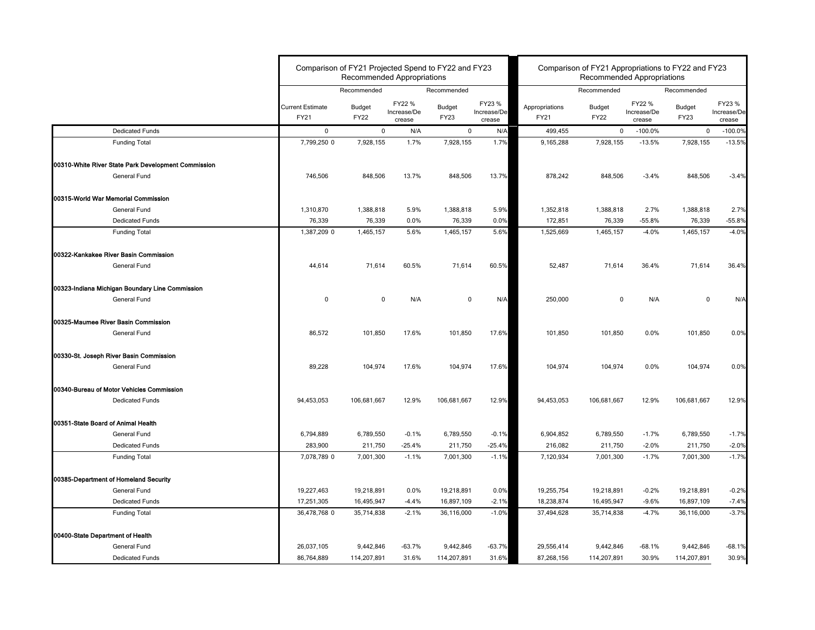|                                                     | Comparison of FY21 Projected Spend to FY22 and FY23 | <b>Recommended Appropriations</b> |                                 |                              | Comparison of FY21 Appropriations to FY22 and FY23<br><b>Recommended Appropriations</b> |                               |                              |                                 |                              |                                 |
|-----------------------------------------------------|-----------------------------------------------------|-----------------------------------|---------------------------------|------------------------------|-----------------------------------------------------------------------------------------|-------------------------------|------------------------------|---------------------------------|------------------------------|---------------------------------|
|                                                     |                                                     | Recommended                       |                                 | Recommended                  |                                                                                         |                               | Recommended                  |                                 | Recommended                  |                                 |
|                                                     | <b>Current Estimate</b><br><b>FY21</b>              | <b>Budget</b><br><b>FY22</b>      | FY22 %<br>Increase/De<br>crease | <b>Budget</b><br><b>FY23</b> | FY23 %<br>Increase/De<br>crease                                                         | Appropriations<br><b>FY21</b> | <b>Budget</b><br><b>FY22</b> | FY22 %<br>Increase/De<br>crease | <b>Budget</b><br><b>FY23</b> | FY23 %<br>Increase/De<br>crease |
| <b>Dedicated Funds</b>                              | $\mathbf 0$                                         | $\mathbf 0$                       | N/A                             | $\mathbf 0$                  | N/A                                                                                     | 499,455                       | $\mathbf 0$                  | $-100.0\%$                      | $\mathbf 0$                  | $-100.0%$                       |
| <b>Funding Total</b>                                | 7,799,250 0                                         | 7,928,155                         | 1.7%                            | 7,928,155                    | 1.7%                                                                                    | 9,165,288                     | 7,928,155                    | $-13.5%$                        | 7,928,155                    | $-13.5%$                        |
| 00310-White River State Park Development Commission |                                                     |                                   |                                 |                              |                                                                                         |                               |                              |                                 |                              |                                 |
| General Fund                                        | 746,506                                             | 848,506                           | 13.7%                           | 848,506                      | 13.7%                                                                                   | 878,242                       | 848,506                      | $-3.4%$                         | 848,506                      | $-3.4%$                         |
| 00315-World War Memorial Commission                 |                                                     |                                   |                                 |                              |                                                                                         |                               |                              |                                 |                              |                                 |
| General Fund                                        | 1,310,870                                           | 1,388,818                         | 5.9%                            | 1,388,818                    | 5.9%                                                                                    | 1,352,818                     | 1,388,818                    | 2.7%                            | 1,388,818                    | 2.7%                            |
| <b>Dedicated Funds</b>                              | 76,339                                              | 76,339                            | $0.0\%$                         | 76,339                       | 0.0%                                                                                    | 172,851                       | 76,339                       | $-55.8%$                        | 76,339                       | $-55.8%$                        |
| <b>Funding Total</b>                                | 1,387,209 0                                         | 1,465,157                         | 5.6%                            | 1,465,157                    | 5.6%                                                                                    | 1,525,669                     | 1,465,157                    | $-4.0%$                         | 1,465,157                    | $-4.0%$                         |
| 00322-Kankakee River Basin Commission               |                                                     |                                   |                                 |                              |                                                                                         |                               |                              |                                 |                              |                                 |
| <b>General Fund</b>                                 | 44,614                                              | 71,614                            | 60.5%                           | 71,614                       | 60.5%                                                                                   | 52,487                        | 71,614                       | 36.4%                           | 71,614                       | 36.4%                           |
| 00323-Indiana Michigan Boundary Line Commission     |                                                     |                                   |                                 |                              |                                                                                         |                               |                              |                                 |                              |                                 |
| General Fund                                        | $\Omega$                                            | $\mathbf 0$                       | N/A                             | $\mathbf 0$                  | N/A                                                                                     | 250,000                       | $\mathbf 0$                  | N/A                             | $\mathbf 0$                  | N/A                             |
| 00325-Maumee River Basin Commission                 |                                                     |                                   |                                 |                              |                                                                                         |                               |                              |                                 |                              |                                 |
| <b>General Fund</b>                                 | 86,572                                              | 101,850                           | 17.6%                           | 101,850                      | 17.6%                                                                                   | 101,850                       | 101,850                      | 0.0%                            | 101,850                      | 0.0%                            |
| 00330-St. Joseph River Basin Commission             |                                                     |                                   |                                 |                              |                                                                                         |                               |                              |                                 |                              |                                 |
| <b>General Fund</b>                                 | 89,228                                              | 104,974                           | 17.6%                           | 104,974                      | 17.6%                                                                                   | 104,974                       | 104,974                      | $0.0\%$                         | 104,974                      | 0.0%                            |
| 00340-Bureau of Motor Vehicles Commission           |                                                     |                                   |                                 |                              |                                                                                         |                               |                              |                                 |                              |                                 |
| Dedicated Funds                                     | 94,453,053                                          | 106,681,667                       | 12.9%                           | 106,681,667                  | 12.9%                                                                                   | 94,453,053                    | 106,681,667                  | 12.9%                           | 106,681,667                  | 12.9%                           |
| 00351-State Board of Animal Health                  |                                                     |                                   |                                 |                              |                                                                                         |                               |                              |                                 |                              |                                 |
| General Fund                                        | 6,794,889                                           | 6,789,550                         | $-0.1%$                         | 6,789,550                    | $-0.1%$                                                                                 | 6,904,852                     | 6,789,550                    | $-1.7%$                         | 6,789,550                    | $-1.7%$                         |
| <b>Dedicated Funds</b>                              | 283,900                                             | 211,750                           | $-25.4%$                        | 211,750                      | $-25.4%$                                                                                | 216,082                       | 211,750                      | $-2.0%$                         | 211,750                      | $-2.0%$                         |
| <b>Funding Total</b>                                | 7,078,789 0                                         | 7,001,300                         | $-1.1%$                         | 7,001,300                    | $-1.1%$                                                                                 | 7,120,934                     | 7,001,300                    | $-1.7%$                         | 7,001,300                    | $-1.7%$                         |
| 00385-Department of Homeland Security               |                                                     |                                   |                                 |                              |                                                                                         |                               |                              |                                 |                              |                                 |
| <b>General Fund</b>                                 | 19,227,463                                          | 19,218,891                        | 0.0%                            | 19,218,891                   | 0.0%                                                                                    | 19,255,754                    | 19,218,891                   | $-0.2%$                         | 19,218,891                   | $-0.2%$                         |
| <b>Dedicated Funds</b>                              | 17,251,305                                          | 16,495,947                        | $-4.4%$                         | 16,897,109                   | $-2.1%$                                                                                 | 18,238,874                    | 16,495,947                   | $-9.6%$                         | 16,897,109                   | $-7.4%$                         |
| <b>Funding Total</b>                                | 36,478,768 0                                        | 35,714,838                        | $-2.1%$                         | 36,116,000                   | $-1.0%$                                                                                 | 37,494,628                    | 35,714,838                   | $-4.7%$                         | 36,116,000                   | $-3.7%$                         |
| 00400-State Department of Health                    |                                                     |                                   |                                 |                              |                                                                                         |                               |                              |                                 |                              |                                 |
| General Fund                                        | 26,037,105                                          | 9,442,846                         | $-63.7%$                        | 9,442,846                    | $-63.7%$                                                                                | 29,556,414                    | 9,442,846                    | $-68.1%$                        | 9,442,846                    | $-68.1%$                        |
| <b>Dedicated Funds</b>                              | 86,764,889                                          | 114,207,891                       | 31.6%                           | 114,207,891                  | 31.6%                                                                                   | 87,268,156                    | 114,207,891                  | 30.9%                           | 114,207,891                  | 30.9%                           |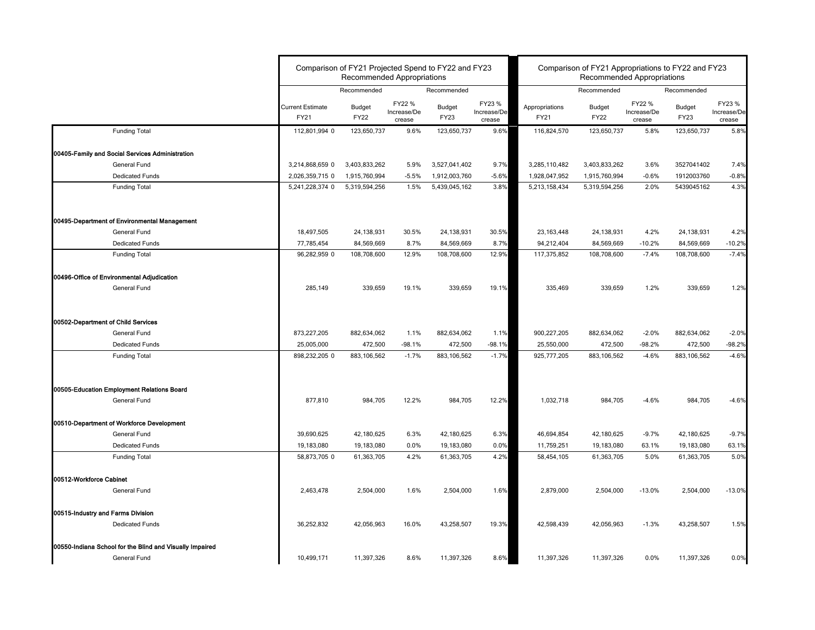|                                                                                 |                                 | Comparison of FY21 Projected Spend to FY22 and FY23<br><b>Recommended Appropriations</b> |                       |                              | Comparison of FY21 Appropriations to FY22 and FY23<br><b>Recommended Appropriations</b> |                               |                              |                                 |                       |                                 |
|---------------------------------------------------------------------------------|---------------------------------|------------------------------------------------------------------------------------------|-----------------------|------------------------------|-----------------------------------------------------------------------------------------|-------------------------------|------------------------------|---------------------------------|-----------------------|---------------------------------|
|                                                                                 |                                 | Recommended<br>Recommended<br>FY22 %<br><b>Budget</b>                                    |                       |                              |                                                                                         |                               | Recommended                  |                                 | Recommended           |                                 |
|                                                                                 | <b>Current Estimate</b><br>FY21 | <b>FY22</b>                                                                              | Increase/De<br>crease | <b>Budget</b><br><b>FY23</b> | FY23 %<br>Increase/De<br>crease                                                         | Appropriations<br><b>FY21</b> | <b>Budget</b><br><b>FY22</b> | FY22 %<br>Increase/De<br>crease | Budget<br><b>FY23</b> | FY23 %<br>Increase/De<br>crease |
| <b>Funding Total</b>                                                            | 112,801,994 0                   | 123,650,737                                                                              | 9.6%                  | 123,650,737                  | 9.6%                                                                                    | 116,824,570                   | 123,650,737                  | 5.8%                            | 123,650,737           | 5.8%                            |
| 00405-Family and Social Services Administration                                 |                                 |                                                                                          |                       |                              |                                                                                         |                               |                              |                                 |                       |                                 |
| <b>General Fund</b>                                                             | 3,214,868,659 0                 | 3,403,833,262                                                                            | 5.9%                  | 3,527,041,402                | 9.7%                                                                                    | 3,285,110,482                 | 3,403,833,262                | 3.6%                            | 3527041402            | 7.4%                            |
| <b>Dedicated Funds</b>                                                          | 2,026,359,715 0                 | 1,915,760,994                                                                            | $-5.5%$               | 1,912,003,760                | $-5.6%$                                                                                 | 1,928,047,952                 | 1,915,760,994                | $-0.6%$                         | 1912003760            | $-0.8%$                         |
| <b>Funding Total</b>                                                            | 5,241,228,374 0                 | 5,319,594,256                                                                            | 1.5%                  | 5,439,045,162                | 3.8%                                                                                    | 5,213,158,434                 | 5,319,594,256                | 2.0%                            | 5439045162            | 4.3%                            |
| 00495-Department of Environmental Management                                    |                                 |                                                                                          |                       |                              |                                                                                         |                               |                              |                                 |                       |                                 |
| General Fund                                                                    | 18,497,505                      | 24,138,931                                                                               | 30.5%                 | 24,138,931                   | 30.5%                                                                                   | 23, 163, 448                  | 24,138,931                   | 4.2%                            | 24,138,931            | 4.2%                            |
| <b>Dedicated Funds</b>                                                          | 77,785,454                      | 84,569,669                                                                               | 8.7%                  | 84,569,669                   | 8.7%                                                                                    | 94,212,404                    | 84,569,669                   | $-10.2%$                        | 84,569,669            | $-10.2%$                        |
| <b>Funding Total</b>                                                            | 96,282,959 0                    | 108,708,600                                                                              | 12.9%                 | 108,708,600                  | 12.9%                                                                                   | 117,375,852                   | 108,708,600                  | $-7.4%$                         | 108,708,600           | $-7.4%$                         |
| 00496-Office of Environmental Adjudication                                      |                                 |                                                                                          |                       |                              |                                                                                         |                               |                              |                                 |                       |                                 |
| General Fund                                                                    | 285,149                         | 339,659                                                                                  | 19.1%                 | 339,659                      | 19.1%                                                                                   | 335,469                       | 339,659                      | 1.2%                            | 339,659               | 1.2%                            |
| 00502-Department of Child Services                                              |                                 |                                                                                          |                       |                              |                                                                                         |                               |                              |                                 |                       |                                 |
| General Fund                                                                    | 873,227,205                     | 882,634,062                                                                              | 1.1%                  | 882,634,062                  | 1.1%                                                                                    | 900,227,205                   | 882,634,062                  | $-2.0%$                         | 882,634,062           | $-2.0%$                         |
| <b>Dedicated Funds</b>                                                          | 25,005,000                      | 472,500                                                                                  | $-98.1%$              | 472,500                      | $-98.1%$                                                                                | 25,550,000                    | 472,500                      | $-98.2%$                        | 472,500               | $-98.2%$                        |
| <b>Funding Total</b>                                                            | 898,232,205 0                   | 883,106,562                                                                              | $-1.7%$               | 883,106,562                  | $-1.7%$                                                                                 | 925,777,205                   | 883,106,562                  | $-4.6%$                         | 883,106,562           | $-4.6%$                         |
| 00505-Education Employment Relations Board                                      |                                 |                                                                                          |                       |                              |                                                                                         |                               |                              |                                 |                       |                                 |
| General Fund                                                                    | 877,810                         | 984,705                                                                                  | 12.2%                 | 984,705                      | 12.2%                                                                                   | 1,032,718                     | 984,705                      | $-4.6%$                         | 984,705               | $-4.6%$                         |
| 00510-Department of Workforce Development                                       |                                 |                                                                                          |                       |                              |                                                                                         |                               |                              |                                 |                       |                                 |
| <b>General Fund</b>                                                             | 39,690,625                      | 42,180,625                                                                               | 6.3%                  | 42,180,625                   | 6.3%                                                                                    | 46,694,854                    | 42,180,625                   | $-9.7%$                         | 42,180,625            | $-9.7%$                         |
| <b>Dedicated Funds</b>                                                          | 19,183,080                      | 19,183,080                                                                               | $0.0\%$               | 19,183,080                   | 0.0%                                                                                    | 11,759,251                    | 19,183,080                   | 63.1%                           | 19,183,080            | 63.1%                           |
| <b>Funding Total</b>                                                            | 58,873,705 0                    | 61,363,705                                                                               | 4.2%                  | 61,363,705                   | 4.2%                                                                                    | 58,454,105                    | 61,363,705                   | 5.0%                            | 61,363,705            | 5.0%                            |
| 00512-Workforce Cabinet                                                         |                                 |                                                                                          |                       |                              |                                                                                         |                               |                              |                                 |                       |                                 |
| <b>General Fund</b>                                                             | 2,463,478                       | 2,504,000                                                                                | 1.6%                  | 2,504,000                    | 1.6%                                                                                    | 2,879,000                     | 2,504,000                    | $-13.0%$                        | 2,504,000             | $-13.0%$                        |
| 00515-Industry and Farms Division                                               |                                 |                                                                                          |                       |                              |                                                                                         |                               |                              |                                 |                       |                                 |
| <b>Dedicated Funds</b>                                                          | 36,252,832                      | 42,056,963                                                                               | 16.0%                 | 43,258,507                   | 19.3%                                                                                   | 42,598,439                    | 42,056,963                   | $-1.3%$                         | 43,258,507            | 1.5%                            |
| 00550-Indiana School for the Blind and Visually Impaired<br><b>General Fund</b> | 10,499,171                      | 11,397,326                                                                               | 8.6%                  | 11,397,326                   | 8.6%                                                                                    | 11,397,326                    | 11,397,326                   | $0.0\%$                         | 11,397,326            | 0.0%                            |
|                                                                                 |                                 |                                                                                          |                       |                              |                                                                                         |                               |                              |                                 |                       |                                 |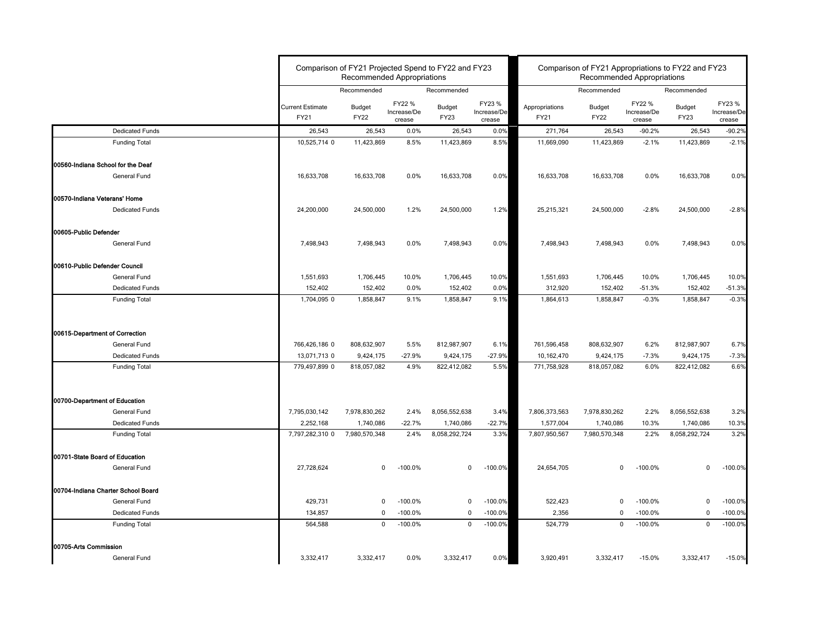|                                       |                                 | Comparison of FY21 Projected Spend to FY22 and FY23<br><b>Recommended Appropriations</b> |                                 |                       | Comparison of FY21 Appropriations to FY22 and FY23<br><b>Recommended Appropriations</b> |                        |                              |                                 |                              |                                 |
|---------------------------------------|---------------------------------|------------------------------------------------------------------------------------------|---------------------------------|-----------------------|-----------------------------------------------------------------------------------------|------------------------|------------------------------|---------------------------------|------------------------------|---------------------------------|
|                                       |                                 | Recommended                                                                              |                                 | Recommended           |                                                                                         |                        | Recommended                  |                                 | Recommended                  |                                 |
|                                       | <b>Current Estimate</b><br>FY21 | <b>Budget</b><br><b>FY22</b>                                                             | FY22 %<br>Increase/De<br>crease | <b>Budget</b><br>FY23 | FY23 %<br>Increase/De<br>crease                                                         | Appropriations<br>FY21 | <b>Budget</b><br><b>FY22</b> | FY22 %<br>Increase/De<br>crease | <b>Budget</b><br><b>FY23</b> | FY23 %<br>Increase/De<br>crease |
| <b>Dedicated Funds</b>                | 26,543                          | 26,543                                                                                   | 0.0%                            | 26,543                | 0.0%                                                                                    | 271,764                | 26,543                       | $-90.2%$                        | 26,543                       | $-90.2%$                        |
| <b>Funding Total</b>                  | 10,525,714 0                    | 11,423,869                                                                               | 8.5%                            | 11,423,869            | 8.5%                                                                                    | 11,669,090             | 11,423,869                   | $-2.1%$                         | 11,423,869                   | $-2.1%$                         |
| 00560-Indiana School for the Deaf     |                                 |                                                                                          |                                 |                       |                                                                                         |                        |                              |                                 |                              |                                 |
| General Fund                          | 16,633,708                      | 16,633,708                                                                               | 0.0%                            | 16,633,708            | 0.0%                                                                                    | 16,633,708             | 16,633,708                   | 0.0%                            | 16,633,708                   | 0.0%                            |
| 00570-Indiana Veterans' Home          |                                 |                                                                                          |                                 |                       |                                                                                         |                        |                              |                                 |                              |                                 |
| <b>Dedicated Funds</b>                | 24,200,000                      | 24,500,000                                                                               | 1.2%                            | 24,500,000            | 1.2%                                                                                    | 25,215,321             | 24,500,000                   | $-2.8%$                         | 24,500,000                   | $-2.8%$                         |
| 00605-Public Defender                 |                                 |                                                                                          |                                 |                       |                                                                                         |                        |                              |                                 |                              |                                 |
| General Fund                          | 7,498,943                       | 7,498,943                                                                                | $0.0\%$                         | 7,498,943             | 0.0%                                                                                    | 7,498,943              | 7,498,943                    | $0.0\%$                         | 7,498,943                    | 0.0%                            |
| <b>100610-Public Defender Council</b> |                                 |                                                                                          |                                 |                       |                                                                                         |                        |                              |                                 |                              |                                 |
| <b>General Fund</b>                   | 1,551,693                       | 1,706,445                                                                                | 10.0%                           | 1,706,445             | 10.0%                                                                                   | 1,551,693              | 1,706,445                    | 10.0%                           | 1,706,445                    | 10.0%                           |
| <b>Dedicated Funds</b>                | 152,402                         | 152,402                                                                                  | 0.0%                            | 152,402               | 0.0%                                                                                    | 312,920                | 152,402                      | $-51.3%$                        | 152,402                      | $-51.3%$                        |
| <b>Funding Total</b>                  | 1,704,095 0                     | 1,858,847                                                                                | 9.1%                            | 1,858,847             | 9.1%                                                                                    | 1,864,613              | 1,858,847                    | $-0.3%$                         | 1,858,847                    | $-0.3%$                         |
| 00615-Department of Correction        |                                 |                                                                                          |                                 |                       |                                                                                         |                        |                              |                                 |                              |                                 |
| General Fund                          | 766,426,186 0                   | 808,632,907                                                                              | 5.5%                            | 812,987,907           | 6.1%                                                                                    | 761,596,458            | 808,632,907                  | 6.2%                            | 812,987,907                  | 6.7%                            |
| <b>Dedicated Funds</b>                | 13,071,713 0                    | 9,424,175                                                                                | $-27.9%$                        | 9,424,175             | $-27.9%$                                                                                | 10,162,470             | 9,424,175                    | $-7.3%$                         | 9,424,175                    | $-7.3%$                         |
| <b>Funding Total</b>                  | 779,497,899 0                   | 818,057,082                                                                              | 4.9%                            | 822,412,082           | 5.5%                                                                                    | 771,758,928            | 818,057,082                  | 6.0%                            | 822,412,082                  | 6.6%                            |
| 00700-Department of Education         |                                 |                                                                                          |                                 |                       |                                                                                         |                        |                              |                                 |                              |                                 |
| General Fund                          | 7,795,030,142                   | 7,978,830,262                                                                            | 2.4%                            | 8,056,552,638         | 3.4%                                                                                    | 7,806,373,563          | 7,978,830,262                | 2.2%                            | 8,056,552,638                | 3.2%                            |
| <b>Dedicated Funds</b>                | 2,252,168                       | 1,740,086                                                                                | $-22.7%$                        | 1,740,086             | $-22.7%$                                                                                | 1,577,004              | 1,740,086                    | 10.3%                           | 1,740,086                    | 10.3%                           |
| <b>Funding Total</b>                  | 7,797,282,310 0                 | 7,980,570,348                                                                            | 2.4%                            | 8,058,292,724         | 3.3%                                                                                    | 7,807,950,567          | 7,980,570,348                | 2.2%                            | 8,058,292,724                | 3.2%                            |
| 00701-State Board of Education        |                                 |                                                                                          |                                 |                       |                                                                                         |                        |                              |                                 |                              |                                 |
| <b>General Fund</b>                   | 27,728,624                      | 0                                                                                        | $-100.0\%$                      | $\mathbf{0}$          | $-100.0%$                                                                               | 24,654,705             | 0                            | $-100.0\%$                      | $\mathbf 0$                  | $-100.0%$                       |
| 00704-Indiana Charter School Board    |                                 |                                                                                          |                                 |                       |                                                                                         |                        |                              |                                 |                              |                                 |
| <b>General Fund</b>                   | 429,731                         | 0                                                                                        | $-100.0\%$                      | 0                     | $-100.0%$                                                                               | 522,423                | 0                            | $-100.0\%$                      | 0                            | $-100.0%$                       |
| <b>Dedicated Funds</b>                | 134,857                         | 0                                                                                        | $-100.0\%$                      | 0                     | $-100.0%$                                                                               | 2,356                  | 0                            | $-100.0\%$                      | 0                            | $-100.0%$                       |
| <b>Funding Total</b>                  | 564,588                         | $\mathbf 0$                                                                              | $-100.0%$                       | $\mathbf 0$           | $-100.0%$                                                                               | 524,779                | $\mathbf{0}$                 | $-100.0\%$                      | $\mathbf 0$                  | $-100.0%$                       |
| 00705-Arts Commission                 |                                 |                                                                                          |                                 |                       |                                                                                         |                        |                              |                                 |                              |                                 |
| <b>General Fund</b>                   | 3,332,417                       | 3,332,417                                                                                | 0.0%                            | 3,332,417             | 0.0%                                                                                    | 3,920,491              | 3,332,417                    | $-15.0%$                        | 3,332,417                    | $-15.0%$                        |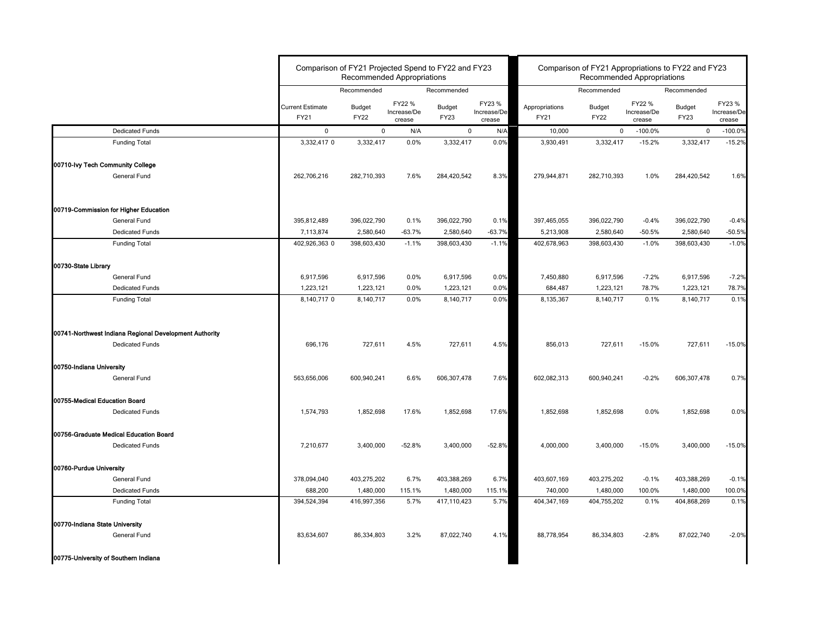|                                                                                  | Comparison of FY21 Projected Spend to FY22 and FY23 |                              | <b>Recommended Appropriations</b> |                              |                                 | Comparison of FY21 Appropriations to FY22 and FY23<br><b>Recommended Appropriations</b> |                              |                                 |                              |                                 |  |
|----------------------------------------------------------------------------------|-----------------------------------------------------|------------------------------|-----------------------------------|------------------------------|---------------------------------|-----------------------------------------------------------------------------------------|------------------------------|---------------------------------|------------------------------|---------------------------------|--|
|                                                                                  |                                                     | Recommended                  |                                   | Recommended                  |                                 |                                                                                         | Recommended                  |                                 | Recommended                  |                                 |  |
|                                                                                  | <b>Current Estimate</b><br>FY21                     | <b>Budget</b><br><b>FY22</b> | FY22 %<br>Increase/De<br>crease   | <b>Budget</b><br><b>FY23</b> | FY23 %<br>Increase/De<br>crease | Appropriations<br>FY21                                                                  | <b>Budget</b><br><b>FY22</b> | FY22 %<br>Increase/De<br>crease | <b>Budget</b><br><b>FY23</b> | FY23 %<br>Increase/De<br>crease |  |
| <b>Dedicated Funds</b>                                                           | $\mathbf 0$                                         |                              | N/A<br>$\mathbf 0$                | $\mathbf 0$                  | N/A                             | 10,000                                                                                  | $\mathbf{0}$                 | $-100.0%$                       | $\mathbf 0$                  | $-100.0%$                       |  |
| <b>Funding Total</b>                                                             | 3,332,417 0                                         | 3,332,417                    | 0.0%                              | 3,332,417                    | 0.0%                            | 3,930,491                                                                               | 3,332,417                    | $-15.2%$                        | 3,332,417                    | $-15.2%$                        |  |
| 00710-lvy Tech Community College                                                 |                                                     |                              |                                   |                              |                                 |                                                                                         |                              |                                 |                              |                                 |  |
| General Fund                                                                     | 262,706,216                                         | 282,710,393                  | 7.6%                              | 284,420,542                  | 8.3%                            | 279,944,871                                                                             | 282,710,393                  | 1.0%                            | 284,420,542                  | 1.6%                            |  |
| 00719-Commission for Higher Education                                            |                                                     |                              |                                   |                              |                                 |                                                                                         |                              |                                 |                              |                                 |  |
| General Fund                                                                     | 395,812,489                                         | 396,022,790                  | 0.1%                              | 396,022,790                  | 0.1%                            | 397,465,055                                                                             | 396,022,790                  | $-0.4%$                         | 396,022,790                  | $-0.4%$                         |  |
| Dedicated Funds                                                                  | 7,113,874                                           | 2,580,640                    | $-63.7%$                          | 2,580,640                    | $-63.7%$                        | 5,213,908                                                                               | 2,580,640                    | $-50.5%$                        | 2,580,640                    | $-50.5%$                        |  |
| <b>Funding Total</b>                                                             | 402,926,363 0                                       | 398,603,430                  | $-1.1%$                           | 398,603,430                  | $-1.1%$                         | 402,678,963                                                                             | 398,603,430                  | $-1.0%$                         | 398,603,430                  | $-1.0%$                         |  |
| 00730-State Library                                                              |                                                     |                              |                                   |                              |                                 |                                                                                         |                              |                                 |                              |                                 |  |
| General Fund                                                                     | 6,917,596                                           | 6,917,596                    | 0.0%                              | 6,917,596                    | 0.0%                            | 7,450,880                                                                               | 6,917,596                    | $-7.2%$                         | 6,917,596                    | $-7.2%$                         |  |
| <b>Dedicated Funds</b><br><b>Funding Total</b>                                   | 1,223,121<br>8,140,717 0                            | 1,223,121<br>8,140,717       | 0.0%<br>0.0%                      | 1,223,121<br>8,140,717       | 0.0%<br>0.0%                    | 684,487<br>8,135,367                                                                    | 1,223,121<br>8,140,717       | 78.7%<br>0.1%                   | 1,223,121<br>8,140,717       | 78.7%<br>0.1%                   |  |
| 00741-Northwest Indiana Regional Development Authority<br><b>Dedicated Funds</b> | 696,176                                             | 727,611                      | 4.5%                              | 727,611                      | 4.5%                            | 856,013                                                                                 | 727,611                      | $-15.0%$                        | 727,611                      | $-15.0%$                        |  |
|                                                                                  |                                                     |                              |                                   |                              |                                 |                                                                                         |                              |                                 |                              |                                 |  |
| 00750-Indiana University<br>General Fund                                         | 563,656,006                                         | 600,940,241                  | 6.6%                              | 606,307,478                  | 7.6%                            | 602,082,313                                                                             | 600,940,241                  | $-0.2%$                         | 606,307,478                  | 0.7%                            |  |
| 00755-Medical Education Board                                                    |                                                     |                              |                                   |                              |                                 |                                                                                         |                              |                                 |                              |                                 |  |
| <b>Dedicated Funds</b>                                                           | 1,574,793                                           | 1,852,698                    | 17.6%                             | 1,852,698                    | 17.6%                           | 1,852,698                                                                               | 1,852,698                    | 0.0%                            | 1,852,698                    | 0.0%                            |  |
| 00756-Graduate Medical Education Board                                           |                                                     |                              |                                   |                              |                                 |                                                                                         |                              |                                 |                              |                                 |  |
| <b>Dedicated Funds</b>                                                           | 7,210,677                                           | 3,400,000                    | $-52.8%$                          | 3,400,000                    | $-52.8%$                        | 4,000,000                                                                               | 3,400,000                    | $-15.0%$                        | 3,400,000                    | $-15.0%$                        |  |
| 00760-Purdue University                                                          |                                                     |                              |                                   |                              |                                 |                                                                                         |                              |                                 |                              |                                 |  |
| General Fund                                                                     | 378,094,040                                         | 403,275,202                  | 6.7%                              | 403,388,269                  | 6.7%                            | 403,607,169                                                                             | 403,275,202                  | $-0.1%$                         | 403,388,269                  | $-0.1%$                         |  |
| <b>Dedicated Funds</b><br><b>Funding Total</b>                                   | 688,200<br>394,524,394                              | 1,480,000<br>416,997,356     | 115.1%<br>5.7%                    | 1,480,000<br>417,110,423     | 115.1%<br>5.7%                  | 740,000<br>404,347,169                                                                  | 1,480,000<br>404,755,202     | 100.0%<br>0.1%                  | 1,480,000<br>404,868,269     | 100.0%<br>0.1%                  |  |
| 00770-Indiana State University                                                   |                                                     |                              |                                   |                              |                                 |                                                                                         |                              |                                 |                              |                                 |  |
| General Fund                                                                     | 83,634,607                                          | 86,334,803                   | 3.2%                              | 87,022,740                   | 4.1%                            | 88,778,954                                                                              | 86,334,803                   | $-2.8%$                         | 87,022,740                   | $-2.0%$                         |  |
| 00775-University of Southern Indiana                                             |                                                     |                              |                                   |                              |                                 |                                                                                         |                              |                                 |                              |                                 |  |